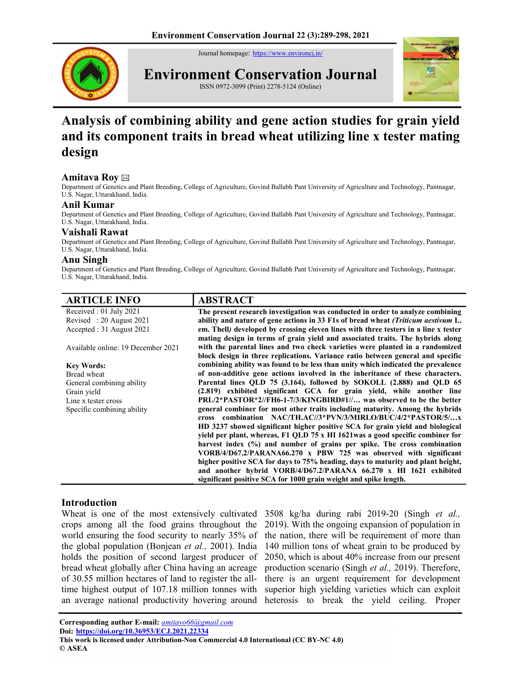Journal homepage: https://www.environcj.in/



Environment Conservation Journal





# Analysis of combining ability and gene action studies for grain yield and its component traits in bread wheat utilizing line x tester mating design

## Amitava Roy ⊠

Department of Genetics and Plant Breeding, College of Agriculture, Govind Ballabh Pant University of Agriculture and Technology, Pantnagar, U.S. Nagar, Uttarakhand, India.

## Anil Kumar

Department of Genetics and Plant Breeding, College of Agriculture, Govind Ballabh Pant University of Agriculture and Technology, Pantnagar, U.S. Nagar, Uttarakhand, India.

## Vaishali Rawat

Department of Genetics and Plant Breeding, College of Agriculture, Govind Ballabh Pant University of Agriculture and Technology, Pantnagar, U.S. Nagar, Uttarakhand, India.

## Anu Singh

Department of Genetics and Plant Breeding, College of Agriculture, Govind Ballabh Pant University of Agriculture and Technology, Pantnagar, U.S. Nagar, Uttarakhand, India.

| <b>ARTICLE INFO</b>                | <b>ABSTRACT</b>                                                                                        |
|------------------------------------|--------------------------------------------------------------------------------------------------------|
| Received : $01$ July 2021          | The present research investigation was conducted in order to analyze combining                         |
| Revised: 20 August 2021            | ability and nature of gene actions in 33 F1s of bread wheat (Triticum aestivum L.                      |
| Accepted: 31 August 2021           | em. Thell) developed by crossing eleven lines with three testers in a line x tester                    |
|                                    | mating design in terms of grain yield and associated traits. The hybrids along                         |
| Available online: 19 December 2021 | with the parental lines and two check varieties were planted in a randomized                           |
|                                    | block design in three replications. Variance ratio between general and specific                        |
| <b>Key Words:</b>                  | combining ability was found to be less than unity which indicated the prevalence                       |
| Bread wheat                        | of non-additive gene actions involved in the inheritance of these characters.                          |
| General combining ability          | Parental lines QLD 75 (3.164), followed by SOKOLL (2.888) and QLD 65                                   |
| Grain yield                        | (2.819) exhibited significant GCA for grain yield, while another line                                  |
| Line x tester cross                | $\text{PRL}/2*\text{PASTOR*2}/\text{FH6-1-7/3}/\text{KINGBIRD#1}/\ldots$ was observed to be the better |
| Specific combining ability         | general combiner for most other traits including maturity. Among the hybrids                           |
|                                    | combination NAC/TH.AC//3*PVN/3/MIRLO/BUC/4/2*PASTOR/5/x<br><b>cross</b>                                |
|                                    | HD 3237 showed significant higher positive SCA for grain yield and biological                          |
|                                    | yield per plant, whereas, F1 QLD 75 x HI 1621was a good specific combiner for                          |
|                                    | harvest index (%) and number of grains per spike. The cross combination                                |
|                                    | VORB/4/D67.2/PARANA66.270 x PBW 725 was observed with significant                                      |
|                                    | higher positive SCA for days to 75% heading, days to maturity and plant height,                        |
|                                    | and another hybrid VORB/4/D67.2/PARANA 66.270 x HI 1621 exhibited                                      |
|                                    | significant positive SCA for 1000 grain weight and spike length.                                       |

## Introduction

Wheat is one of the most extensively cultivated crops among all the food grains throughout the world ensuring the food security to nearly 35% of the global population (Bonjean et al., 2001). India holds the position of second largest producer of bread wheat globally after China having an acreage of 30.55 million hectares of land to register the alltime highest output of 107.18 million tonnes with an average national productivity hovering around

3508 kg/ha during rabi 2019-20 (Singh et al., 2019). With the ongoing expansion of population in the nation, there will be requirement of more than 140 million tons of wheat grain to be produced by 2050, which is about 40% increase from our present production scenario (Singh et al., 2019). Therefore, there is an urgent requirement for development superior high yielding varieties which can exploit heterosis to break the yield ceiling. Proper

Corresponding author E-mail: *amitavo66@gmail.com* Doi: https://doi.org/10.36953/ECJ.2021.22334<br>This work is licensed under Attribution-Non Commercial 4.0 International (CC BY-NC 4.0) © ASEA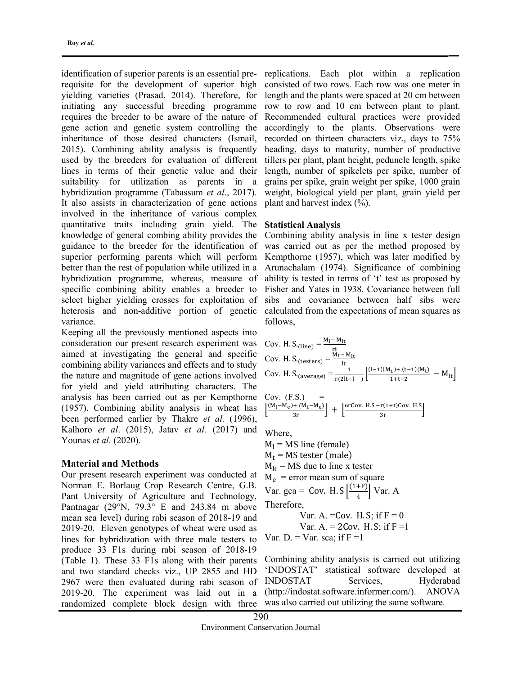identification of superior parents is an essential prerequisite for the development of superior high yielding varieties (Prasad, 2014). Therefore, for initiating any successful breeding programme requires the breeder to be aware of the nature of gene action and genetic system controlling the inheritance of those desired characters (Ismail, 2015). Combining ability analysis is frequently used by the breeders for evaluation of different lines in terms of their genetic value and their suitability for utilization as parents in a hybridization programme (Tabassum et al., 2017). It also assists in characterization of gene actions involved in the inheritance of various complex quantitative traits including grain yield. The knowledge of general combing ability provides the guidance to the breeder for the identification of superior performing parents which will perform better than the rest of population while utilized in a hybridization programme, whereas, measure of specific combining ability enables a breeder to select higher yielding crosses for exploitation of heterosis and non-additive portion of genetic variance.

Keeping all the previously mentioned aspects into consideration our present research experiment was aimed at investigating the general and specific combining ability variances and effects and to study the nature and magnitude of gene actions involved for yield and yield attributing characters. The analysis has been carried out as per Kempthorne (1957). Combining ability analysis in wheat has been performed earlier by Thakre et al. (1996), Kalhoro et al. (2015), Jatav et al. (2017) and Younas et al. (2020).

#### Material and Methods

Our present research experiment was conducted at Norman E. Borlaug Crop Research Centre, G.B. Pant University of Agriculture and Technology, Pantnagar (29°N, 79.3° E and 243.84 m above mean sea level) during rabi season of 2018-19 and 2019-20. Eleven genotypes of wheat were used as lines for hybridization with three male testers to produce 33 F1s during rabi season of 2018-19 (Table 1). These 33 F1s along with their parents and two standard checks viz., UP 2855 and HD 2967 were then evaluated during rabi season of 2019-20. The experiment was laid out in a randomized complete block design with three

replications. Each plot within a replication consisted of two rows. Each row was one meter in length and the plants were spaced at 20 cm between row to row and 10 cm between plant to plant. Recommended cultural practices were provided accordingly to the plants. Observations were recorded on thirteen characters viz., days to 75% heading, days to maturity, number of productive tillers per plant, plant height, peduncle length, spike length, number of spikelets per spike, number of grains per spike, grain weight per spike, 1000 grain weight, biological yield per plant, grain yield per plant and harvest index (%).

#### Statistical Analysis

Combining ability analysis in line x tester design was carried out as per the method proposed by Kempthorne (1957), which was later modified by Arunachalam (1974). Significance of combining ability is tested in terms of 't' test as proposed by Fisher and Yates in 1938. Covariance between full sibs and covariance between half sibs were calculated from the expectations of mean squares as follows,

Cov. H. S.(*line*) = 
$$
\frac{M_1 - M_{lt}}{rt}
$$
  
\nCov. H. S.(*testers*) =  $\frac{M_t - M_{lt}}{lt}$   
\nCov. H. S.(*average*) =  $\frac{1}{r(2lt-1)}$   $\left[ \frac{(1-1)(M_1) + (t-1)(M_t)}{1+t-2} - M_{lt} \right]$   
\nCov. (F.S.) =  $\left[ \frac{(M_1 - M_e) + (M_t - M_e)}{3r} \right] + \left[ \frac{6rCov. H.S. - r(1+t)Cov. H.S}{3r} \right]$ 

Where,

 $M<sub>l</sub>$  = MS line (female)  $M_t$  = MS tester (male)  $M_{1t}$  = MS due to line x tester  $M_e$  = error mean sum of square Var. gca = Cov. H. S  $\frac{(1+F)}{4}$  $\left[\frac{(\text{Tr})}{4}\right]$  Var. A Therefore,

Var. A. =Cov. H.S; if 
$$
F = 0
$$
  
Var. A. = 2Cov. H.S; if  $F = 1$ 

Var. D. = Var. sca; if 
$$
F = 1
$$

Combining ability analysis is carried out utilizing 'INDOSTAT' statistical software developed at INDOSTAT Services, Hyderabad (http://indostat.software.informer.com/). ANOVA was also carried out utilizing the same software.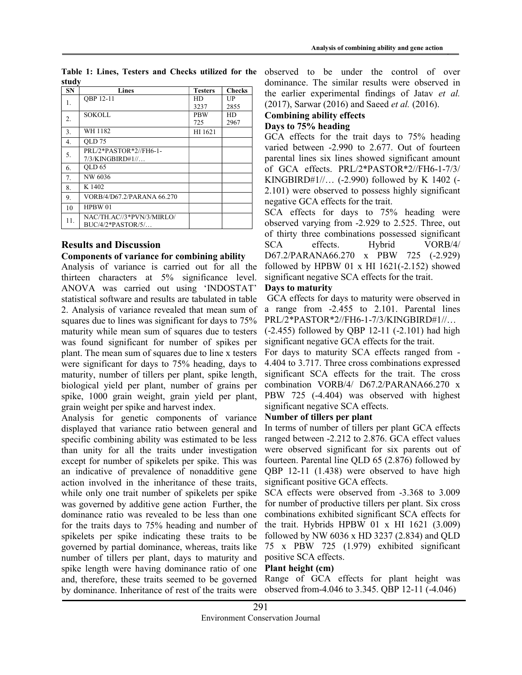|       |  |  | Table 1: Lines, Testers and Checks utilized for the |  |
|-------|--|--|-----------------------------------------------------|--|
| study |  |  |                                                     |  |

| <b>SN</b> | <b>Lines</b>               | <b>Testers</b> | <b>Checks</b> |
|-----------|----------------------------|----------------|---------------|
| 1.        | OBP 12-11                  | HD             | UP            |
|           |                            | 3237           | 2855          |
| 2.        | SOKOLL                     | <b>PBW</b>     | HD            |
|           |                            | 725            | 2967          |
| 3.        | WH 1182                    | HI 1621        |               |
| 4.        | OLD 75                     |                |               |
| 5.        | PRI/2*PASTOR*2//FH6-1-     |                |               |
|           | $7/3$ /KINGBIRD#1//        |                |               |
| 6.        | OLD <sub>65</sub>          |                |               |
| 7.        | NW 6036                    |                |               |
| 8.        | K 1402                     |                |               |
| 9.        | VORB/4/D67.2/PARANA 66.270 |                |               |
| 10        | HPBW 01                    |                |               |
| 11.       | NAC/TH.AC//3*PVN/3/MIRLO/  |                |               |
|           | $BUC/4/2*PASTOR/5/$        |                |               |

## Results and Discussion

## Components of variance for combining ability

Analysis of variance is carried out for all the thirteen characters at 5% significance level. ANOVA was carried out using 'INDOSTAT' statistical software and results are tabulated in table 2. Analysis of variance revealed that mean sum of squares due to lines was significant for days to 75% maturity while mean sum of squares due to testers was found significant for number of spikes per plant. The mean sum of squares due to line x testers were significant for days to 75% heading, days to maturity, number of tillers per plant, spike length, biological yield per plant, number of grains per spike, 1000 grain weight, grain yield per plant, grain weight per spike and harvest index.

Analysis for genetic components of variance displayed that variance ratio between general and specific combining ability was estimated to be less than unity for all the traits under investigation except for number of spikelets per spike. This was an indicative of prevalence of nonadditive gene action involved in the inheritance of these traits, while only one trait number of spikelets per spike was governed by additive gene action Further, the dominance ratio was revealed to be less than one for the traits days to 75% heading and number of spikelets per spike indicating these traits to be governed by partial dominance, whereas, traits like number of tillers per plant, days to maturity and spike length were having dominance ratio of one and, therefore, these traits seemed to be governed by dominance. Inheritance of rest of the traits were

observed to be under the control of over dominance. The similar results were observed in the earlier experimental findings of Jatav et al. (2017), Sarwar (2016) and Saeed et al. (2016).

## Combining ability effects

## Days to 75% heading

GCA effects for the trait days to 75% heading varied between -2.990 to 2.677. Out of fourteen parental lines six lines showed significant amount of GCA effects. PRL/2\*PASTOR\*2//FH6-1-7/3/ KINGBIRD#1//… (-2.990) followed by K 1402 (- 2.101) were observed to possess highly significant negative GCA effects for the trait.

SCA effects for days to 75% heading were observed varying from -2.929 to 2.525. Three, out of thirty three combinations possessed significant SCA effects. Hybrid VORB/4/ D67.2/PARANA66.270 x PBW 725 (-2.929) followed by HPBW 01 x HI 1621(-2.152) showed significant negative SCA effects for the trait.

## Days to maturity

 GCA effects for days to maturity were observed in a range from -2.455 to 2.101. Parental lines PRL/2\*PASTOR\*2//FH6-1-7/3/KINGBIRD#1//…

(-2.455) followed by QBP 12-11 (-2.101) had high significant negative GCA effects for the trait.

For days to maturity SCA effects ranged from - 4.404 to 3.717. Three cross combinations expressed significant SCA effects for the trait. The cross combination VORB/4/ D67.2/PARANA66.270 x PBW 725 (-4.404) was observed with highest significant negative SCA effects.

## Number of tillers per plant

In terms of number of tillers per plant GCA effects ranged between -2.212 to 2.876. GCA effect values were observed significant for six parents out of fourteen. Parental line QLD 65 (2.876) followed by QBP 12-11 (1.438) were observed to have high significant positive GCA effects.

SCA effects were observed from -3.368 to 3.009 for number of productive tillers per plant. Six cross combinations exhibited significant SCA effects for the trait. Hybrids HPBW 01 x HI 1621 (3.009) followed by NW 6036 x HD 3237 (2.834) and QLD 75 x PBW 725 (1.979) exhibited significant positive SCA effects.

#### Plant height (cm)

Range of GCA effects for plant height was observed from-4.046 to 3.345. QBP 12-11 (-4.046)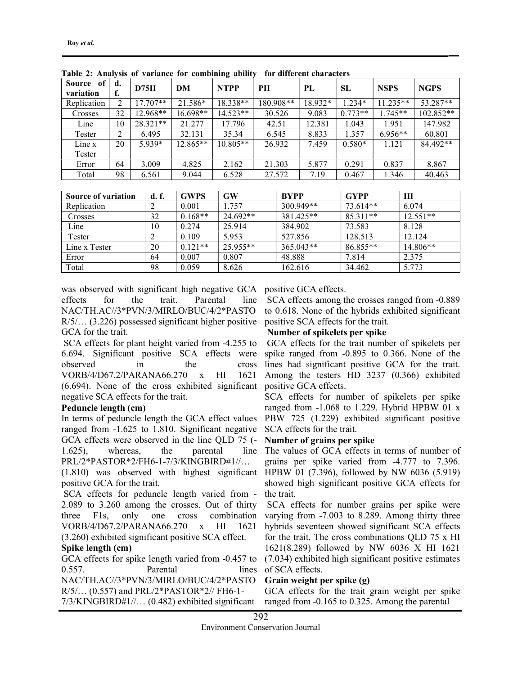| of<br>Source | d. | D75H       | DM         | <b>NTPP</b> | PН        | PL      | SL        | <b>NSPS</b> | <b>NGPS</b> |
|--------------|----|------------|------------|-------------|-----------|---------|-----------|-------------|-------------|
| variation    | f. |            |            |             |           |         |           |             |             |
| Replication  | 2  | $17.707**$ | 21.586*    | 18.338**    | 180.908** | 18.932* | $1.234*$  | $11.235**$  | 53.287**    |
| Crosses      | 32 | $12.968**$ | $16.698**$ | $14.523**$  | 30.526    | 9.083   | $0.773**$ | $1.745**$   | $102.852**$ |
| Line         | 10 | 28.321**   | 21.277     | 17.796      | 42.51     | 12.381  | 1.043     | 1.951       | 147.982     |
| Tester       | 2  | 6.495      | 32.131     | 35.34       | 6.545     | 8.833   | 1.357     | $6.956**$   | 60.801      |
| Line x       | 20 | $5.939*$   | $12.865**$ | $10.805**$  | 26.932    | 7.459   | $0.580*$  | 1.121       | 84.492**    |
| Tester       |    |            |            |             |           |         |           |             |             |
| Error        | 64 | 3.009      | 4.825      | 2.162       | 21.303    | 5.877   | 0.291     | 0.837       | 8.867       |
| Total        | 98 | 6.561      | 9.044      | 6.528       | 27.572    | 7.19    | 0.467     | 1.346       | 40.463      |

Table 2: Analysis of variance for combining ability for different characters

| <b>Source of variation</b> | d. f. | <b>GWPS</b> | GW       | <b>BYPP</b> | <b>GYPP</b> | HI         |
|----------------------------|-------|-------------|----------|-------------|-------------|------------|
| Replication                | ◠     | 0.001       | 1.757    | 300.949**   | 73.614**    | 6.074      |
| Crosses                    | 32    | $0.168**$   | 24.692** | 381.425**   | $85.311**$  | $12.551**$ |
| Line                       | 10    | 0.274       | 25.914   | 384.902     | 73.583      | 8.128      |
| Tester                     |       | 0.109       | 5.953    | 527.856     | 128.513     | 12.124     |
| Line x Tester              | 20    | $0.121**$   | 25.955** | $365.043**$ | 86.855**    | $14.806**$ |
| Error                      | 64    | 0.007       | 0.807    | 48.888      | 7.814       | 2.375      |
| Total                      | 98    | 0.059       | 8.626    | 162.616     | 34.462      | 5.773      |

was observed with significant high negative GCA positive GCA effects. effects for the trait. Parental line NAC/TH.AC//3\*PVN/3/MIRLO/BUC/4/2\*PASTO R/5/… (3.226) possessed significant higher positive GCA for the trait.

 SCA effects for plant height varied from -4.255 to 6.694. Significant positive SCA effects were observed in the cross VORB/4/D67.2/PARANA66.270 x HI 1621 (6.694). None of the cross exhibited significant negative SCA effects for the trait.

## Peduncle length (cm)

In terms of peduncle length the GCA effect values ranged from -1.625 to 1.810. Significant negative GCA effects were observed in the line QLD 75 (- 1.625), whereas, the parental line PRL/2\*PASTOR\*2/FH6-1-7/3/KINGBIRD#1//…

(1.810) was observed with highest significant positive GCA for the trait.

 SCA effects for peduncle length varied from - 2.089 to 3.260 among the crosses. Out of thirty three F1s, only one cross combination VORB/4/D67.2/PARANA66.270 x HI 1621 (3.260) exhibited significant positive SCA effect.

# Spike length (cm)

GCA effects for spike length varied from -0.457 to 0.557. Parental lines NAC/TH.AC//3\*PVN/3/MIRLO/BUC/4/2\*PASTO R/5/… (0.557) and PRL/2\*PASTOR\*2// FH6-1- 7/3/KINGBIRD#1//… (0.482) exhibited significant

 SCA effects among the crosses ranged from -0.889 to 0.618. None of the hybrids exhibited significant positive SCA effects for the trait.

## Number of spikelets per spike

 GCA effects for the trait number of spikelets per spike ranged from -0.895 to 0.366. None of the lines had significant positive GCA for the trait. Among the testers HD 3237 (0.366) exhibited positive GCA effects.

SCA effects for number of spikelets per spike ranged from -1.068 to 1.229. Hybrid HPBW 01 x PBW 725 (1.229) exhibited significant positive SCA effects for the trait.

# Number of grains per spike

The values of GCA effects in terms of number of grains per spike varied from -4.777 to 7.396. HPBW 01 (7.396), followed by NW 6036 (5.919) showed high significant positive GCA effects for the trait.

 SCA effects for number grains per spike were varying from -7.003 to 8.289. Among thirty three hybrids seventeen showed significant SCA effects for the trait. The cross combinations QLD 75 x HI 1621(8.289) followed by NW 6036 X HI 1621 (7.034) exhibited high significant positive estimates of SCA effects.

# Grain weight per spike (g)

GCA effects for the trait grain weight per spike ranged from -0.165 to 0.325. Among the parental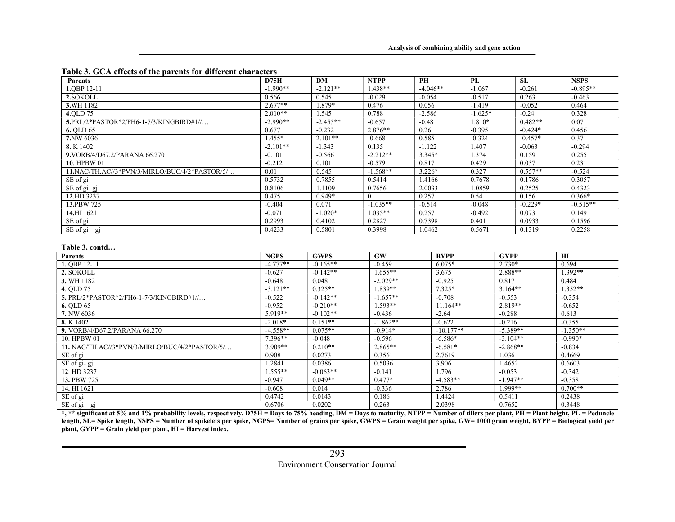|  | Table 3. GCA effects of the parents for different characters |  |  |  |  |
|--|--------------------------------------------------------------|--|--|--|--|
|--|--------------------------------------------------------------|--|--|--|--|

| <b>Parents</b>                                 | D75H        | <b>DM</b>   | <b>NTPP</b> | <b>PH</b>   | PL        |             | <b>SL</b> | <b>NSPS</b> |
|------------------------------------------------|-------------|-------------|-------------|-------------|-----------|-------------|-----------|-------------|
| 1.0BP 12-11                                    | $-1.990**$  | $-2.121**$  | $1.438**$   | $-4.046**$  | $-1.067$  |             | $-0.261$  | $-0.895**$  |
| 2.SOKOLL                                       | 0.566       | 0.545       | $-0.029$    | $-0.054$    | $-0.517$  |             | 0.263     | $-0.463$    |
| 3.WH 1182                                      | $2.677**$   | $1.879*$    | 0.476       | 0.056       | $-1.419$  |             | $-0.052$  | 0.464       |
| 4.OLD 75                                       | $2.010**$   | 1.545       | 0.788       | $-2.586$    | $-1.625*$ |             | $-0.24$   | 0.328       |
| 5.PRL/2*PASTOR*2/FH6-1-7/3/KINGBIRD#1//        | $-2.990**$  | $-2.455**$  | $-0.657$    | $-0.48$     | 1.810*    |             | $0.482**$ | 0.07        |
| 6. OLD 65                                      | 0.677       | $-0.232$    | $2.876**$   | 0.26        | $-0.395$  |             | $-0.424*$ | 0.456       |
| 7.NW 6036                                      | $1.455*$    | $2.101**$   | $-0.668$    | 0.585       | $-0.324$  |             | $-0.457*$ | 0.371       |
| 8. K 1402                                      | $-2.101**$  | $-1.343$    | 0.135       | $-1.122$    | 1.407     |             | $-0.063$  | $-0.294$    |
| 9. VORB/4/D67.2/PARANA 66.270                  | $-0.101$    | $-0.566$    | $-2.212**$  | $3.345*$    | 1.374     |             | 0.159     | 0.255       |
| 10. HPBW 01                                    | $-0.212$    | 0.101       | $-0.579$    | 0.817       | 0.429     |             | 0.037     | 0.231       |
| 11.NAC/TH.AC//3*PVN/3/MIRLO/BUC/4/2*PASTOR/5/  | 0.01        | 0.545       | $-1.568**$  | $3.226*$    | 0.327     |             | $0.557**$ | $-0.524$    |
| SE of gi                                       | 0.5732      | 0.7855      | 0.5414      | 1.4166      | 0.7678    |             | 0.1786    | 0.3057      |
| SE of gi-gj                                    | 0.8106      | 1.1109      | 0.7656      | 2.0033      | 1.0859    |             | 0.2525    | 0.4323      |
| 12.HD 3237                                     | 0.475       | $0.949*$    | $\theta$    | 0.257       | 0.54      |             | 0.156     | $0.366*$    |
| 13.PBW 725                                     | $-0.404$    | 0.071       | $-1.035**$  | $-0.514$    | $-0.048$  |             | $-0.229*$ | $-0.515**$  |
| 14.HI 1621                                     | $-0.071$    | $-1.020*$   | $1.035**$   | 0.257       | $-0.492$  |             | 0.073     | 0.149       |
| SE of gi                                       | 0.2993      | 0.4102      | 0.2827      | 0.7398      | 0.401     |             | 0.0933    | 0.1596      |
| $\overline{\text{SE}}$ of gi – gj              | 0.4233      | 0.5801      | 0.3998      | 1.0462      | 0.5671    |             | 0.1319    | 0.2258      |
| Table 3. contd<br><b>Parents</b>               | <b>NGPS</b> | <b>GWPS</b> | GW          | <b>BYPP</b> |           | <b>GYPP</b> |           | H I         |
| 1. OBP 12-11                                   | $-4.777**$  | $-0.165**$  | $-0.459$    | $6.075*$    |           | $2.730*$    |           | 0.694       |
| 2. SOKOLL                                      | $-0.627$    | $-0.142**$  | $1.655**$   | 3.675       |           | 2.888**     |           | $1.392**$   |
| 3. WH 1182                                     | $-0.648$    | 0.048       | $-2.029**$  | $-0.925$    |           | 0.817       |           | 0.484       |
| 4. OLD 75                                      | $-3.121**$  | $0.325**$   | $1.839**$   | $7.325*$    |           | $3.164**$   |           | $1.352**$   |
| 5. PRL/2*PASTOR*2/FH6-1-7/3/KINGBIRD#1//       | $-0.522$    | $-0.142**$  | $-1.657**$  | $-0.708$    |           | $-0.553$    |           | $-0.354$    |
| 6. QLD 65                                      | $-0.952$    | $-0.210**$  | $1.593**$   | $11.164**$  |           | $2.819**$   |           | $-0.652$    |
| 7. NW 6036                                     | $5.919**$   | $-0.102**$  | $-0.436$    | $-2.64$     |           | $-0.288$    |           | 0.613       |
| 8. K 1402                                      | $-2.018*$   | $0.151**$   | $-1.862**$  | $-0.622$    |           | $-0.216$    |           | $-0.355$    |
| 9. VORB/4/D67.2/PARANA 66.270                  | $-4.558**$  | $0.075**$   | $-0.914*$   | $-10.177**$ |           | $-5.389**$  |           | $-1.350**$  |
| 10. HPBW 01                                    | $7.396**$   | $-0.048$    | $-0.596$    | $-6.586*$   |           | $-3.104**$  |           | $-0.990*$   |
| 11. NAC/TH.AC//3*PVN/3/MIRLO/BUC/4/2*PASTOR/5/ | $3.909**$   | $0.210**$   | $2.865**$   | $-6.581*$   |           | $-2.868**$  |           | $-0.834$    |
| SE of gi                                       | 0.908       | 0.0273      | 0.3561      | 2.7619      |           | 1.036       |           | 0.4669      |
| $\overline{\text{SE}}$ of gi-gj                | 1.2841      | 0.0386      | 0.5036      | 3.906       |           | 1.4652      |           | 0.6603      |
| 12. HD 3237                                    | $1.555**$   | $-0.063**$  | $-0.141$    | 1.796       |           | $-0.053$    |           | $-0.342$    |
| 13. PBW 725                                    | $-0.947$    | $0.049**$   | $0.477*$    | $-4.583**$  |           | $-1.947**$  |           | $-0.358$    |
| 14. HI 1621                                    | $-0.608$    | 0.014       | $-0.336$    | 2.786       |           | 1.999**     |           | $0.700**$   |
| SE of gi                                       | 0.4742      | 0.0143      | 0.186       | 1.4424      |           | 0.5411      |           | 0.2438      |
| $\overline{\text{SE of}}$ gi – gj              | 0.6706      | 0.0202      | 0.263       | 2.0398      |           | 0.7652      |           | 0.3448      |

\*, \*\* significant at 5% and 1% probability levels, respectively. D75H = Days to 75% heading, DM = Days to maturity, NTPP = Number of tillers per plant, PH = Plant height, PL = Peduncle length, SL= Spike length, NSPS = Number of spikelets per spike, NGPS= Number of grains per spike, GWPS = Grain weight per spike, GW= 1000 grain weight, BYPP = Biological yield per  $\frac{1}{2}$  plant, GYPP = Grain yield per plant, HI = Harvest index.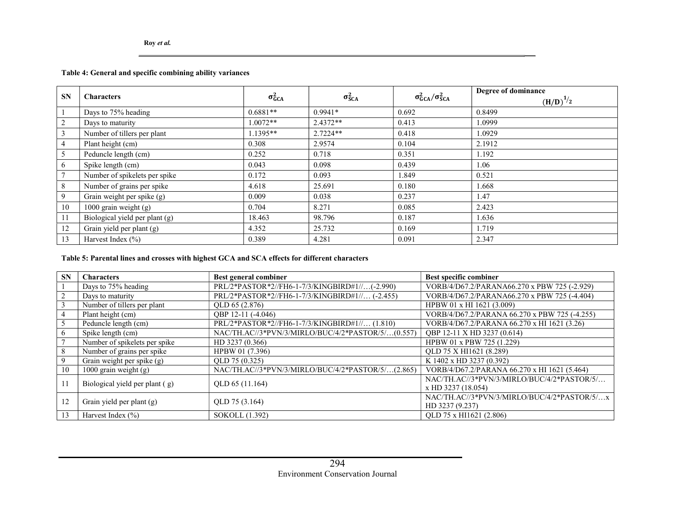## Table 4: General and specific combining ability variances

| <b>SN</b>      | <b>Characters</b>              | $\sigma_{GCA}^2$ | $\sigma_{SCA}^2$ | $\sigma_{GCA}^2/\sigma_{SCA}^2$ | Degree of dominance<br>$(\underline{H}/D)^{1/2}$ |
|----------------|--------------------------------|------------------|------------------|---------------------------------|--------------------------------------------------|
|                | Days to 75% heading            | $0.6881**$       | $0.9941*$        | 0.692                           | 0.8499                                           |
| $\overline{2}$ | Days to maturity               | $1.0072**$       | $2.4372**$       | 0.413                           | 1.0999                                           |
| 3              | Number of tillers per plant    | $1.1395**$       | $2.7224**$       | 0.418                           | 1.0929                                           |
| 4              | Plant height (cm)              | 0.308            | 2.9574           | 0.104                           | 2.1912                                           |
| 5              | Peduncle length (cm)           | 0.252            | 0.718            | 0.351                           | 1.192                                            |
| 6              | Spike length (cm)              | 0.043            | 0.098            | 0.439                           | 1.06                                             |
| $\tau$         | Number of spikelets per spike  | 0.172            | 0.093            | 1.849                           | 0.521                                            |
| 8              | Number of grains per spike     | 4.618            | 25.691           | 0.180                           | 1.668                                            |
| 9              | Grain weight per spike (g)     | 0.009            | 0.038            | 0.237                           | 1.47                                             |
| 10             | 1000 grain weight (g)          | 0.704            | 8.271            | 0.085                           | 2.423                                            |
| 11             | Biological yield per plant (g) | 18.463           | 98.796           | 0.187                           | 1.636                                            |
| 12             | Grain yield per plant (g)      | 4.352            | 25.732           | 0.169                           | 1.719                                            |
| 13             | Harvest Index $(\% )$          | 0.389            | 4.281            | 0.091                           | 2.347                                            |

#### Table 5: Parental lines and crosses with highest GCA and SCA effects for different characters

| <b>SN</b> | <b>Characters</b>              | Best general combiner                             | Best specific combiner                        |
|-----------|--------------------------------|---------------------------------------------------|-----------------------------------------------|
|           | Days to 75% heading            | PRL/2*PASTOR*2//FH6-1-7/3/KINGBIRD#1//(-2.990)    | VORB/4/D67.2/PARANA66.270 x PBW 725 (-2.929)  |
| 2         | Days to maturity               | PRL/2*PASTOR*2//FH6-1-7/3/KINGBIRD#1// (-2.455)   | VORB/4/D67.2/PARANA66.270 x PBW 725 (-4.404)  |
|           | Number of tillers per plant    | OLD 65 (2.876)                                    | HPBW 01 x HI 1621 (3.009)                     |
| 4         | Plant height (cm)              | QBP 12-11 (-4.046)                                | VORB/4/D67.2/PARANA 66.270 x PBW 725 (-4.255) |
|           | Peduncle length (cm)           | PRL/2*PASTOR*2//FH6-1-7/3/KINGBIRD#1// (1.810)    | VORB/4/D67.2/PARANA 66.270 x HI 1621 (3.26)   |
| 6         | Spike length (cm)              | NAC/TH.AC//3*PVN/3/MIRLO/BUC/4/2*PASTOR/5/(0.557) | OBP 12-11 X HD 3237 (0.614)                   |
|           | Number of spikelets per spike  | HD 3237 (0.366)                                   | HPBW 01 x PBW 725 (1.229)                     |
| 8         | Number of grains per spike     | HPBW 01 (7.396)                                   | OLD 75 X HI1621 (8.289)                       |
| 9         | Grain weight per spike (g)     | OLD 75 (0.325)                                    | K 1402 x HD 3237 (0.392)                      |
| 10        | 1000 grain weight $(g)$        | NAC/TH.AC//3*PVN/3/MIRLO/BUC/4/2*PASTOR/5/(2.865) | VORB/4/D67.2/PARANA 66.270 x HI 1621 (5.464)  |
| 11        | Biological yield per plant (g) | QLD 65 (11.164)                                   | NAC/TH.AC//3*PVN/3/MIRLO/BUC/4/2*PASTOR/5/    |
|           |                                |                                                   | x HD 3237 (18.054)                            |
| 12        | Grain yield per plant (g)      | QLD 75 (3.164)                                    | NAC/TH.AC//3*PVN/3/MIRLO/BUC/4/2*PASTOR/5/x   |
|           |                                |                                                   | HD 3237 (9.237)                               |
| 13        | Harvest Index $(\% )$          | SOKOLL (1.392)                                    | OLD 75 x HI1621 (2.806)                       |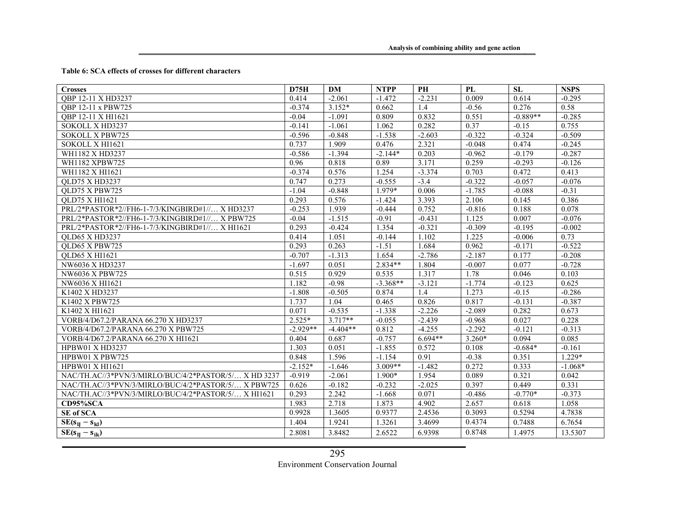#### Table 6: SCA effects of crosses for different characters

| <b>Crosses</b>                                       | D75H       | DM         | <b>NTPP</b> | PH        | PL       | <b>SL</b>  | <b>NSPS</b> |
|------------------------------------------------------|------------|------------|-------------|-----------|----------|------------|-------------|
| OBP 12-11 X HD3237                                   | 0.414      | $-2.061$   | $-1.472$    | $-2.231$  | 0.009    | 0.614      | $-0.295$    |
| OBP 12-11 x PBW725                                   | $-0.374$   | $3.152*$   | 0.662       | 1.4       | $-0.56$  | 0.276      | 0.58        |
| OBP 12-11 X HI1621                                   | $-0.04$    | $-1.091$   | 0.809       | 0.832     | 0.551    | $-0.889**$ | $-0.285$    |
| SOKOLL X HD3237                                      | $-0.141$   | $-1.061$   | 1.062       | 0.282     | 0.37     | $-0.15$    | 0.755       |
| <b>SOKOLL X PBW725</b>                               | $-0.596$   | $-0.848$   | $-1.538$    | $-2.603$  | $-0.322$ | $-0.324$   | $-0.509$    |
| SOKOLL X HI1621                                      | 0.737      | 1.909      | 0.476       | 2.321     | $-0.048$ | 0.474      | $-0.245$    |
| WH1182 X HD3237                                      | $-0.586$   | $-1.394$   | $-2.144*$   | 0.203     | $-0.962$ | $-0.179$   | $-0.287$    |
| WH1182 XPBW725                                       | 0.96       | 0.818      | 0.89        | 3.171     | 0.259    | $-0.293$   | $-0.126$    |
| WH1182 X HI1621                                      | $-0.374$   | 0.576      | 1.254       | $-3.374$  | 0.703    | 0.472      | 0.413       |
| QLD75 X HD3237                                       | 0.747      | 0.273      | $-0.555$    | $-3.4$    | $-0.322$ | $-0.057$   | $-0.076$    |
| QLD75 X PBW725                                       | $-1.04$    | $-0.848$   | 1.979*      | 0.006     | $-1.785$ | $-0.088$   | $-0.31$     |
| <b>OLD75 X HI1621</b>                                | 0.293      | 0.576      | $-1.424$    | 3.393     | 2.106    | 0.145      | 0.386       |
| PRL/2*PASTOR*2//FH6-1-7/3/KINGBIRD#1// X HD3237      | $-0.253$   | 1.939      | $-0.444$    | 0.752     | $-0.816$ | 0.188      | 0.078       |
| PRL/2*PASTOR*2//FH6-1-7/3/KINGBIRD#1// X PBW725      | $-0.04$    | $-1.515$   | $-0.91$     | $-0.431$  | 1.125    | 0.007      | $-0.076$    |
| PRL/2*PASTOR*2//FH6-1-7/3/KINGBIRD#1// X HI1621      | 0.293      | $-0.424$   | 1.354       | $-0.321$  | $-0.309$ | $-0.195$   | $-0.002$    |
| QLD65 X HD3237                                       | 0.414      | 1.051      | $-0.144$    | 1.102     | 1.225    | $-0.006$   | 0.73        |
| OLD65 X PBW725                                       | 0.293      | 0.263      | $-1.51$     | 1.684     | 0.962    | $-0.171$   | $-0.522$    |
| <b>OLD65 X HI1621</b>                                | $-0.707$   | $-1.313$   | 1.654       | $-2.786$  | $-2.187$ | 0.177      | $-0.208$    |
| NW6036 X HD3237                                      | $-1.697$   | 0.051      | 2.834**     | 1.804     | $-0.007$ | 0.077      | $-0.728$    |
| NW6036 X PBW725                                      | 0.515      | 0.929      | 0.535       | 1.317     | 1.78     | 0.046      | 0.103       |
| NW6036 X HI1621                                      | 1.182      | $-0.98$    | $-3.368**$  | $-3.121$  | $-1.774$ | $-0.123$   | 0.625       |
| K1402 X HD3237                                       | $-1.808$   | $-0.505$   | 0.874       | 1.4       | 1.273    | $-0.15$    | $-0.286$    |
| K1402 X PBW725                                       | 1.737      | 1.04       | 0.465       | 0.826     | 0.817    | $-0.131$   | $-0.387$    |
| K1402 X HI1621                                       | 0.071      | $-0.535$   | $-1.338$    | $-2.226$  | $-2.089$ | 0.282      | 0.673       |
| VORB/4/D67.2/PARANA 66.270 X HD3237                  | $2.525*$   | $3.717**$  | $-0.055$    | $-2.439$  | $-0.968$ | 0.027      | 0.228       |
| VORB/4/D67.2/PARANA 66.270 X PBW725                  | $-2.929**$ | $-4.404**$ | 0.812       | $-4.255$  | $-2.292$ | $-0.121$   | $-0.313$    |
| VORB/4/D67.2/PARANA 66.270 X HI1621                  | 0.404      | 0.687      | $-0.757$    | $6.694**$ | $3.260*$ | 0.094      | 0.085       |
| HPBW01 X HD3237                                      | 1.303      | 0.051      | $-1.855$    | 0.572     | 0.108    | $-0.684*$  | $-0.161$    |
| HPBW01 X PBW725                                      | 0.848      | 1.596      | $-1.154$    | 0.91      | $-0.38$  | 0.351      | $1.229*$    |
| HPBW01 X HI1621                                      | $-2.152*$  | $-1.646$   | $3.009**$   | $-1.482$  | 0.272    | 0.333      | $-1.068*$   |
| NAC/TH.AC//3*PVN/3/MIRLO/BUC/4/2*PASTOR/5/ X HD 3237 | $-0.919$   | $-2.061$   | 1.900*      | 1.954     | 0.089    | 0.321      | 0.042       |
| NAC/TH.AC//3*PVN/3/MIRLO/BUC/4/2*PASTOR/5/ X PBW725  | 0.626      | $-0.182$   | $-0.232$    | $-2.025$  | 0.397    | 0.449      | 0.331       |
| NAC/TH.AC//3*PVN/3/MIRLO/BUC/4/2*PASTOR/5/ X HI1621  | 0.293      | 2.242      | $-1.668$    | 0.071     | $-0.486$ | $-0.770*$  | $-0.373$    |
| CD95%SCA                                             | 1.983      | 2.718      | 1.873       | 4.902     | 2.657    | 0.618      | 1.058       |
| SE of SCA                                            | 0.9928     | 1.3605     | 0.9377      | 2.4536    | 0.3093   | 0.5294     | 4.7838      |
| $SE(s_{II} - s_{kl})$                                | 1.404      | 1.9241     | 1.3261      | 3.4699    | 0.4374   | 0.7488     | 6.7654      |
| $SE(s_{II} - s_{ik})$                                | 2.8081     | 3.8482     | 2.6522      | 6.9398    | 0.8748   | 1.4975     | 13.5307     |

295

Environment Conservation Journal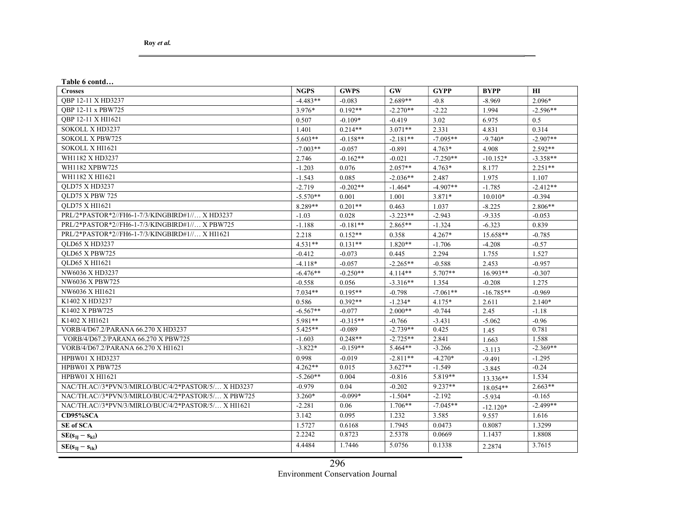Table 6 contd… Crosses and the contract of the contract of the contract of the contract of the contract of the contract of the contract of the contract of the contract of the contract of the contract of the contract of the contract of th QBP 12-11 X HD3237 2.096\*  $\begin{vmatrix} -4.483** & -0.083 & 2.689** & -0.8 \end{vmatrix}$  -0.8  $\begin{vmatrix} -8.969 & 2.096* & -8.969 \end{vmatrix}$ QBP 12-11 x PBW725 3.976\* 0.192\*\* -2.270\*\* -2.22 1.994 -2.596\*\* QBP 12-11 X HI1621 0.507 -0.109\* -0.419 3.02 6.975 0.5 SOKOLL X HD3237 2.331 4.831 0.314 SOKOLL X PBW725 5.603\*\* -0.158\*\* -2.181\*\* -7.095\*\* -9.740\* -2.907\*\* SOKOLL X HI1621 -7.003\*\* | -0.057 | -0.891 | 4.763\* | 4.908 | 2.592\*\* WH1182 X HD3237 2.746  $\begin{vmatrix} 2.746 & -0.162^{**} & -0.021 & -7.250^{**} \end{vmatrix}$   $\begin{vmatrix} -10.152^{*} & -3.358^{**} \end{vmatrix}$ WH1182 XPBW725  $\begin{vmatrix} -1.203 & 0.076 & 2.057** & 4.763* & 8.177 \end{vmatrix}$  2.251\*\* WH1182 X HI1621 **1.975** 1.107 QLD75 X HD3237 -2.412\*\* -2.202\*\* -2.719 -0.202\*\* -1.464\* -4.907\*\* -1.785 -2.412\*\* QLD75 X PBW 725 -5.570\*\* 0.001 1.001 3.871\* 10.010\* -0.394 QLD75 X HI1621 2.806\*\*  $8.289**$   $0.201**$  0.463 1.037  $-8.225$  2.806\*\* PRL/2\*PASTOR\*2//FH6-1-7/3/KINGBIRD#1//… X HD3237  $\begin{vmatrix} -1.03 & 0.028 & -3.223^{**} & -2.943 & -9.335 & 0.053 \end{vmatrix}$ PRL/2\*PASTOR\*2//FH6-1-7/3/KINGBIRD#1//… X PBW725 -1.188 -0.181\*\* 2.865\*\* -1.324 -6.323 0.839 PRL/2\*PASTOR\*2//FH6-1-7/3/KINGBIRD#1//… X HI1621 2.218 0.152\*\* 0.358 4.267\* 15.658\*\* -0.785 QLD65 X HD3237  $\vert$  4.531\*\*  $\vert$  0.131\*\*  $\vert$  1.820\*\*  $\vert$  -1.706  $\vert$  -4.208  $\vert$  -0.57 QLD65 X PBW725 1.527  $\begin{vmatrix} -0.412 & -0.073 & 0.445 \end{vmatrix}$   $\begin{vmatrix} 0.445 & 2.294 \end{vmatrix}$  2.294 1.755 1.527 QLD65 X HI1621  $-0.957$   $-1.118*$   $-0.057$   $-2.265**$   $-0.588$   $2.453$   $-0.957$ NW6036 X HD3237 -6.476\*\*  $\begin{vmatrix} -6.476** & -0.250** \end{vmatrix}$   $\begin{vmatrix} 4.114** & 5.707** \end{vmatrix}$   $\begin{vmatrix} 16.993** & -0.307 \end{vmatrix}$ NW6036 X PBW725  $\begin{vmatrix} -0.558 & 0.056 \end{vmatrix}$   $-0.558$   $\begin{vmatrix} 0.056 & -3.316** & 1.354 \end{vmatrix}$   $-0.208$  1.275 NW6036 X HI1621 7.034\*\* 0.195\*\* -0.798 -7.061\*\* -16.785\*\* -0.969 K1402 X HD3237 0.586 0.392\*\* -1.234\* 4.175\* 2.611 2.140\* K1402 X PBW725  $\begin{vmatrix} .6.567^{**} & -0.077 & 2.000^{**} & -0.744 & 2.45 \end{vmatrix}$  -1.18  $K1402 \text{ X H}11621$   $-0.96$   $-0.315**$   $-0.315**$   $-0.766$   $-3.431$   $-5.062$   $-0.96$ VORB/4/D67.2/PARANA 66.270 X HD3237 5.425\*\* -0.089 -2.739\*\* 0.425 1.45 0.781 VORB/4/D67.2/PARANA 66.270 X PBW725 -1.603 0.248\*\* 2.725\*\* 2.841 1.663 1.588 VORB/4/D67.2/PARANA 66.270 X HI1621 -3.822\* -0.159\*\* 5.464\*\* -3.266 -3.113 -2.369\*\* HPBW01 X HD3237  $\begin{vmatrix} 0.998 & -0.019 & -2.811** \\ 0.998 & -0.019 & -2.811** \end{vmatrix}$  -4.270\*  $\begin{vmatrix} -9.491 & -1.295 \end{vmatrix}$ HPBW01 X PBW725 4.262\*\* 0.015 3.627\*\* -1.549 -3.845 -0.24 HPBW01 X HI1621 -5.260\*\* | 0.004 | -0.816 | 5.819\*\* | 13.336\*\* | 1.534 NAC/TH.AC//3\*PVN/3/MIRLO/BUC/4/2\*PASTOR/5/… X HD3237 -0.979 0.04 -0.202 9.237\*\* 18.054\*\* 2.663\*\* NAC/TH.AC//3\*PVN/3/MIRLO/BUC/4/2\*PASTOR/5/… X PBW725  $\begin{vmatrix} 3.260^* & -0.099^* & -1.504^* & -2.192 & -5.934 \end{vmatrix}$  -5.934 -0.165 NAC/TH.AC//3\*PVN/3/MIRLO/BUC/4/2\*PASTOR/5/… X HI1621 -2.281 0.06 1.706\*\* -7.045\*\* -12.120\* -2.499\*\* **CD95%SCA** 3.142  $\begin{array}{|l} \end{array}$  0.095 1.232 3.585 9.557 1.616 SE of SCA 2.5727 0.6168 1.7945 0.0473 0.8087 1.3299  $SE(s_{IJ} - s_{kl})$  2.2242 0.8723 2.5378 0.0669 1.1437 1.8808  $SE(s_{IJ} - s_{ik})$  3.7615 4.4484 1.7446 5.0756 0.1338 2.2874 3.7615

> Environment Conservation Journal 296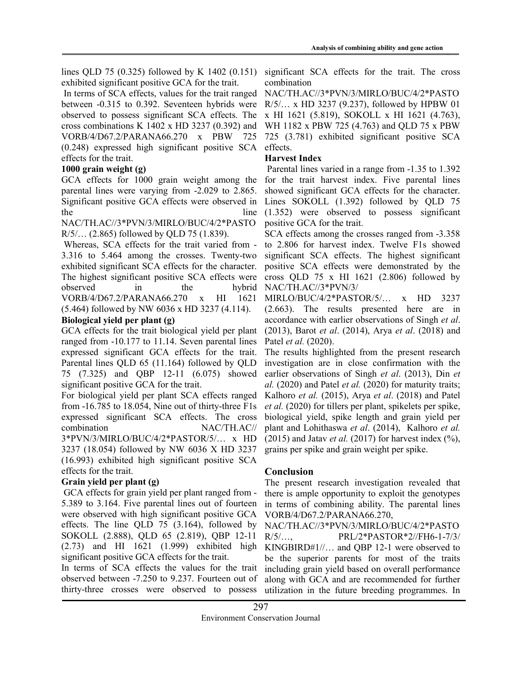lines QLD 75 (0.325) followed by K 1402 (0.151) exhibited significant positive GCA for the trait.

 In terms of SCA effects, values for the trait ranged between -0.315 to 0.392. Seventeen hybrids were observed to possess significant SCA effects. The cross combinations K 1402 x HD 3237 (0.392) and VORB/4/D67.2/PARANA66.270 x PBW 725 (0.248) expressed high significant positive SCA effects. effects for the trait.

## 1000 grain weight (g)

GCA effects for 1000 grain weight among the parental lines were varying from -2.029 to 2.865. Significant positive GCA effects were observed in the line

NAC/TH.AC//3\*PVN/3/MIRLO/BUC/4/2\*PASTO R/5/… (2.865) followed by QLD 75 (1.839).

 Whereas, SCA effects for the trait varied from - 3.316 to 5.464 among the crosses. Twenty-two exhibited significant SCA effects for the character. The highest significant positive SCA effects were observed in the hybrid VORB/4/D67.2/PARANA66.270 x HI 1621 (5.464) followed by NW 6036 x HD 3237 (4.114).

## Biological yield per plant (g)

GCA effects for the trait biological yield per plant ranged from -10.177 to 11.14. Seven parental lines expressed significant GCA effects for the trait. Parental lines QLD 65 (11.164) followed by QLD 75 (7.325) and QBP 12-11 (6.075) showed significant positive GCA for the trait.

For biological yield per plant SCA effects ranged from -16.785 to 18.054, Nine out of thirty-three F1s expressed significant SCA effects. The cross combination NAC/TH.AC// 3\*PVN/3/MIRLO/BUC/4/2\*PASTOR/5/… x HD 3237 (18.054) followed by NW 6036 X HD 3237 (16.993) exhibited high significant positive SCA effects for the trait.

## Grain yield per plant (g)

 GCA effects for grain yield per plant ranged from - 5.389 to 3.164. Five parental lines out of fourteen were observed with high significant positive GCA effects. The line QLD 75 (3.164), followed by SOKOLL (2.888), QLD 65 (2.819), QBP 12-11 (2.73) and HI 1621 (1.999) exhibited high significant positive GCA effects for the trait.

In terms of SCA effects the values for the trait observed between -7.250 to 9.237. Fourteen out of thirty-three crosses were observed to possess

significant SCA effects for the trait. The cross combination

NAC/TH.AC//3\*PVN/3/MIRLO/BUC/4/2\*PASTO R/5/… x HD 3237 (9.237), followed by HPBW 01 x HI 1621 (5.819), SOKOLL x HI 1621 (4.763), WH 1182 x PBW 725 (4.763) and QLD 75 x PBW 725 (3.781) exhibited significant positive SCA

## Harvest Index

 Parental lines varied in a range from -1.35 to 1.392 for the trait harvest index. Five parental lines showed significant GCA effects for the character. Lines SOKOLL (1.392) followed by QLD 75 (1.352) were observed to possess significant positive GCA for the trait.

SCA effects among the crosses ranged from -3.358 to 2.806 for harvest index. Twelve F1s showed significant SCA effects. The highest significant positive SCA effects were demonstrated by the cross QLD 75 x HI 1621 (2.806) followed by NAC/TH.AC//3\*PVN/3/

MIRLO/BUC/4/2\*PASTOR/5/… x HD 3237 (2.663). The results presented here are in accordance with earlier observations of Singh et al. (2013), Barot et al. (2014), Arya et al. (2018) and Patel et al. (2020).

The results highlighted from the present research investigation are in close confirmation with the earlier observations of Singh et al. (2013), Din et  $al.$  (2020) and Patel et al. (2020) for maturity traits; Kalhoro et al. (2015), Arya et al. (2018) and Patel et al. (2020) for tillers per plant, spikelets per spike, biological yield, spike length and grain yield per plant and Lohithaswa et al. (2014), Kalhoro et al. (2015) and Jatav *et al.* (2017) for harvest index  $(\%)$ , grains per spike and grain weight per spike.

# Conclusion

The present research investigation revealed that there is ample opportunity to exploit the genotypes in terms of combining ability. The parental lines VORB/4/D67.2/PARANA66.270,

NAC/TH.AC//3\*PVN/3/MIRLO/BUC/4/2\*PASTO R/5/…, PRL/2\*PASTOR\*2//FH6-1-7/3/ KINGBIRD#1//… and QBP 12-1 were observed to be the superior parents for most of the traits including grain yield based on overall performance along with GCA and are recommended for further utilization in the future breeding programmes. In